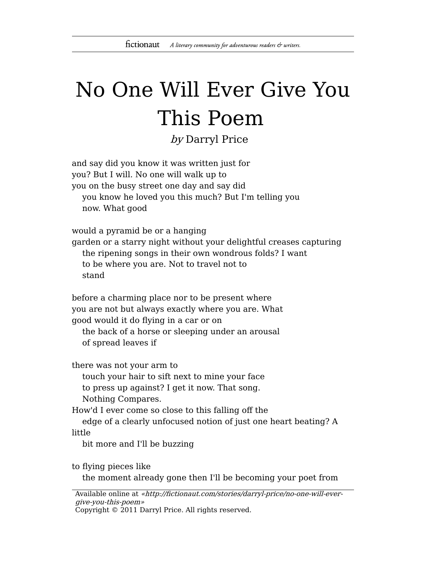## No One Will Ever Give You This Poem

by Darryl Price

| and say did you know it was written just for<br>you? But I will. No one will walk up to<br>you on the busy street one day and say did<br>you know he loved you this much? But I'm telling you<br>now. What good                                                                                                      |
|----------------------------------------------------------------------------------------------------------------------------------------------------------------------------------------------------------------------------------------------------------------------------------------------------------------------|
| would a pyramid be or a hanging<br>garden or a starry night without your delightful creases capturing<br>the ripening songs in their own wondrous folds? I want<br>to be where you are. Not to travel not to<br>stand                                                                                                |
| before a charming place nor to be present where<br>you are not but always exactly where you are. What<br>good would it do flying in a car or on<br>the back of a horse or sleeping under an arousal<br>of spread leaves if                                                                                           |
| there was not your arm to<br>touch your hair to sift next to mine your face<br>to press up against? I get it now. That song.<br>Nothing Compares.<br>How'd I ever come so close to this falling off the<br>edge of a clearly unfocused notion of just one heart beating? A<br>little<br>bit more and I'll be buzzing |
| to flying pieces like                                                                                                                                                                                                                                                                                                |

the moment already gone then I'll be becoming your poet from

Available online at «http://fictionaut.com/stories/darryl-price/no-one-will-evergive-you-this-poem» Copyright © 2011 Darryl Price. All rights reserved.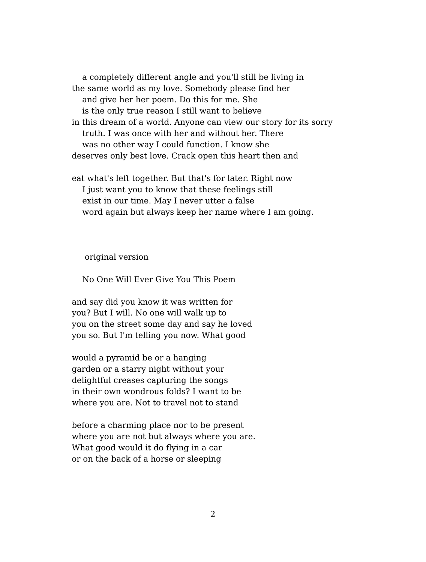a completely different angle and you'll still be living in the same world as my love. Somebody please find her and give her her poem. Do this for me. She is the only true reason I still want to believe

in this dream of a world. Anyone can view our story for its sorry truth. I was once with her and without her. There was no other way I could function. I know she deserves only best love. Crack open this heart then and

eat what's left together. But that's for later. Right now I just want you to know that these feelings still exist in our time. May I never utter a false word again but always keep her name where I am going.

original version

No One Will Ever Give You This Poem

and say did you know it was written for you? But I will. No one will walk up to you on the street some day and say he loved you so. But I'm telling you now. What good

would a pyramid be or a hanging garden or a starry night without your delightful creases capturing the songs in their own wondrous folds? I want to be where you are. Not to travel not to stand

before a charming place nor to be present where you are not but always where you are. What good would it do flying in a car or on the back of a horse or sleeping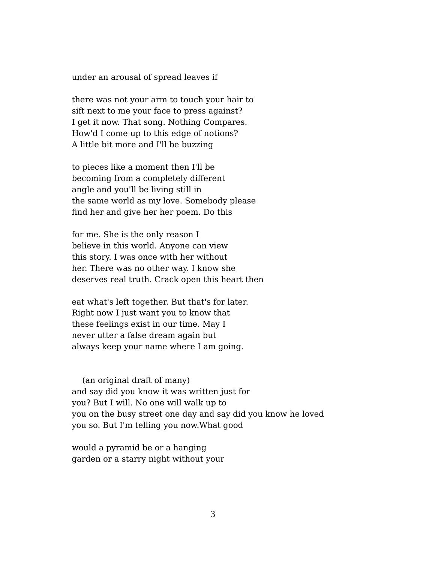under an arousal of spread leaves if

there was not your arm to touch your hair to sift next to me your face to press against? I get it now. That song. Nothing Compares. How'd I come up to this edge of notions? A little bit more and I'll be buzzing

to pieces like a moment then I'll be becoming from a completely different angle and you'll be living still in the same world as my love. Somebody please find her and give her her poem. Do this

for me. She is the only reason I believe in this world. Anyone can view this story. I was once with her without her. There was no other way. I know she deserves real truth. Crack open this heart then

eat what's left together. But that's for later. Right now I just want you to know that these feelings exist in our time. May I never utter a false dream again but always keep your name where I am going.

(an original draft of many) and say did you know it was written just for you? But I will. No one will walk up to you on the busy street one day and say did you know he loved you so. But I'm telling you now.What good

would a pyramid be or a hanging garden or a starry night without your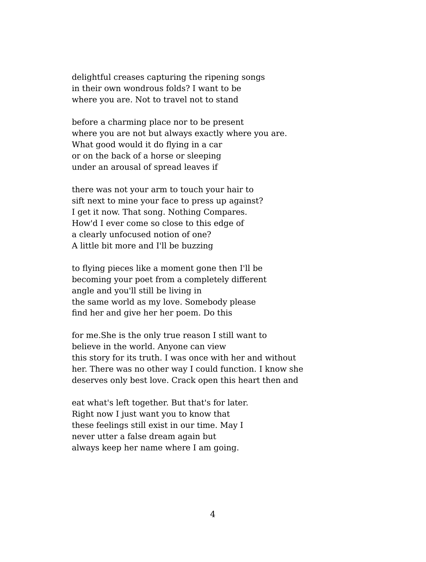delightful creases capturing the ripening songs in their own wondrous folds? I want to be where you are. Not to travel not to stand

before a charming place nor to be present where you are not but always exactly where you are. What good would it do flying in a car or on the back of a horse or sleeping under an arousal of spread leaves if

there was not your arm to touch your hair to sift next to mine your face to press up against? I get it now. That song. Nothing Compares. How'd I ever come so close to this edge of a clearly unfocused notion of one? A little bit more and I'll be buzzing

to flying pieces like a moment gone then I'll be becoming your poet from a completely different angle and you'll still be living in the same world as my love. Somebody please find her and give her her poem. Do this

for me.She is the only true reason I still want to believe in the world. Anyone can view this story for its truth. I was once with her and without her. There was no other way I could function. I know she deserves only best love. Crack open this heart then and

eat what's left together. But that's for later. Right now I just want you to know that these feelings still exist in our time. May I never utter a false dream again but always keep her name where I am going.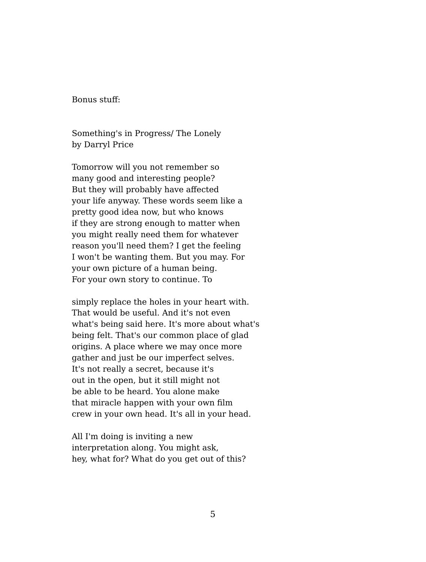Bonus stuff:

Something's in Progress/ The Lonely by Darryl Price

Tomorrow will you not remember so many good and interesting people? But they will probably have affected your life anyway. These words seem like a pretty good idea now, but who knows if they are strong enough to matter when you might really need them for whatever reason you'll need them? I get the feeling I won't be wanting them. But you may. For your own picture of a human being. For your own story to continue. To

simply replace the holes in your heart with. That would be useful. And it's not even what's being said here. It's more about what's being felt. That's our common place of glad origins. A place where we may once more gather and just be our imperfect selves. It's not really a secret, because it's out in the open, but it still might not be able to be heard. You alone make that miracle happen with your own film crew in your own head. It's all in your head.

All I'm doing is inviting a new interpretation along. You might ask, hey, what for? What do you get out of this?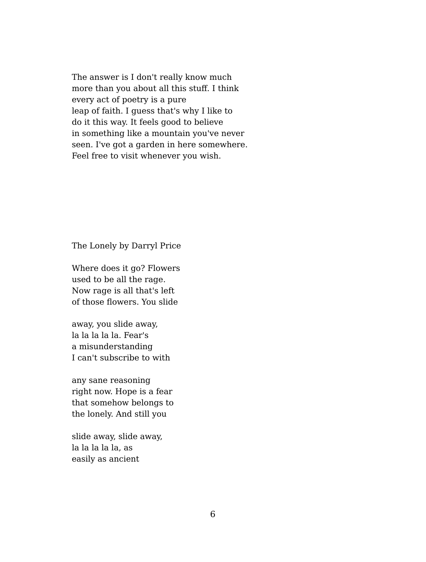The answer is I don't really know much more than you about all this stuff. I think every act of poetry is a pure leap of faith. I guess that's why I like to do it this way. It feels good to believe in something like a mountain you've never seen. I've got a garden in here somewhere. Feel free to visit whenever you wish.

The Lonely by Darryl Price

Where does it go? Flowers used to be all the rage. Now rage is all that's left of those flowers. You slide

away, you slide away, la la la la la. Fear's a misunderstanding I can't subscribe to with

any sane reasoning right now. Hope is a fear that somehow belongs to the lonely. And still you

slide away, slide away, la la la la la, as easily as ancient